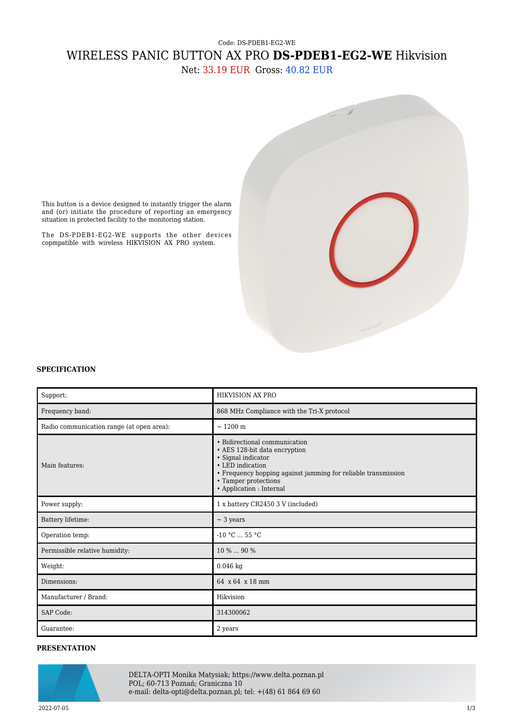## Code: DS-PDEB1-EG2-WE WIRELESS PANIC BUTTON AX PRO **DS-PDEB1-EG2-WE** Hikvision

Net: 33.19 EUR Gross: 40.82 EUR



This button is a device designed to instantly trigger the alarm and (or) initiate the procedure of reporting an emergency situation in protected facility to the monitoring station.

The DS-PDEB1-EG2-WE supports the other devices copmpatible with wireless HIKVISION AX PRO system.

## **SPECIFICATION**

| Support:                                  | <b>HIKVISION AX PRO</b>                                                                                                                                                                                                       |  |
|-------------------------------------------|-------------------------------------------------------------------------------------------------------------------------------------------------------------------------------------------------------------------------------|--|
| Frequency band:                           | 868 MHz Compliance with the Tri-X protocol                                                                                                                                                                                    |  |
| Radio communication range (at open area): | ~1200~m                                                                                                                                                                                                                       |  |
| Main features:                            | • Bidirectional communication<br>• AES 128-bit data encryption<br>• Signal indicator<br>• LED indication<br>• Frequency hopping against jamming for reliable transmission<br>• Tamper protections<br>• Application : Internal |  |
| Power supply:                             | 1 x battery CR2450 3 V (included)                                                                                                                                                                                             |  |
| Battery lifetime:                         | $\sim$ 3 years                                                                                                                                                                                                                |  |
| Operation temp:                           | $-10$ °C $\ldots$ 55 °C                                                                                                                                                                                                       |  |
| Permissible relative humidity:            | 10 %  90 %                                                                                                                                                                                                                    |  |
| Weight:                                   | $0.046$ kg                                                                                                                                                                                                                    |  |
| Dimensions:                               | 64 x 64 x 18 mm                                                                                                                                                                                                               |  |
| Manufacturer / Brand:                     | Hikvision                                                                                                                                                                                                                     |  |
| <b>SAP Code:</b>                          | 314300062                                                                                                                                                                                                                     |  |
| Guarantee:                                | 2 years                                                                                                                                                                                                                       |  |

## **PRESENTATION**



DELTA-OPTI Monika Matysiak; https://www.delta.poznan.pl POL; 60-713 Poznań; Graniczna 10 e-mail: delta-opti@delta.poznan.pl; tel: +(48) 61 864 69 60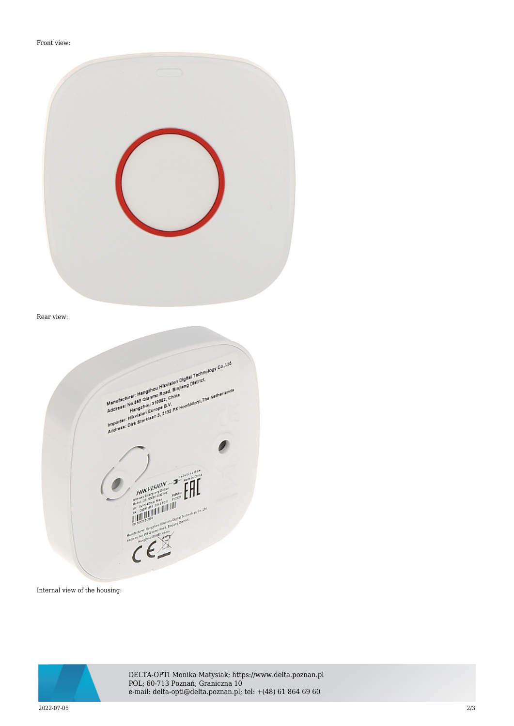## Front view:

| Rear view: |                                                                                                                                                                                                                                                                                                                                                                                                                                                                                                                                                                                                                                                                                                                                                                                                                                                                           |  |
|------------|---------------------------------------------------------------------------------------------------------------------------------------------------------------------------------------------------------------------------------------------------------------------------------------------------------------------------------------------------------------------------------------------------------------------------------------------------------------------------------------------------------------------------------------------------------------------------------------------------------------------------------------------------------------------------------------------------------------------------------------------------------------------------------------------------------------------------------------------------------------------------|--|
|            | Manufacturer: Hangshou Hikvision Digital Technology Co., Ltd.<br>Manufacturer: Hangshou Hikvision Digital Technology Co., Ltd.<br>menusacium : membrinor meviauri profile i economical<br>supporter: HIXVISION Europe B.V.<br>Integrater: HIXVISION Europe B.V. px Hooddocrp.The Netherlands<br>HIKVISION - 2 - PARTIES<br>$\begin{picture}(180,10) \put(0,0){\line(1,0){10}} \put(10,0){\line(1,0){10}} \put(10,0){\line(1,0){10}} \put(10,0){\line(1,0){10}} \put(10,0){\line(1,0){10}} \put(10,0){\line(1,0){10}} \put(10,0){\line(1,0){10}} \put(10,0){\line(1,0){10}} \put(10,0){\line(1,0){10}} \put(10,0){\line(1,0){10}} \put(10,0){\line(1,0){10}} \put(10,0){\line($<br>Manufacturer, Interlighense Warrington Digital Tradescorps (ps. 1315)<br>Manufacturer, Interlighense Warrington Digital Tradescorps (ps. 1315)<br>Martin Harpert Strip Department<br>CE |  |

Internal view of the housing:



DELTA-OPTI Monika Matysiak; https://www.delta.poznan.pl POL; 60-713 Poznań; Graniczna 10 e-mail: delta-opti@delta.poznan.pl; tel: +(48) 61 864 69 60

2022-07-05 2/3